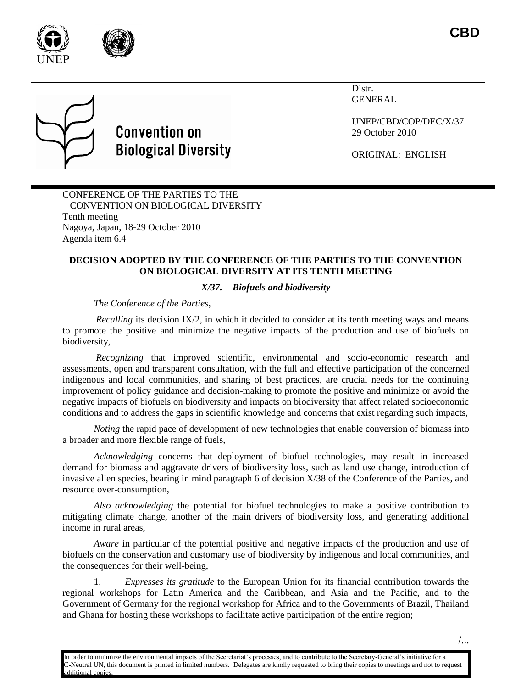



# **Convention on Biological Diversity**

Distr. GENERAL

UNEP/CBD/COP/DEC/X/37 29 October 2010

ORIGINAL: ENGLISH

CONFERENCE OF THE PARTIES TO THE CONVENTION ON BIOLOGICAL DIVERSITY Tenth meeting Nagoya, Japan, 18-29 October 2010 Agenda item 6.4

## **DECISION ADOPTED BY THE CONFERENCE OF THE PARTIES TO THE CONVENTION ON BIOLOGICAL DIVERSITY AT ITS TENTH MEETING**

# *X/37. Biofuels and biodiversity*

*The Conference of the Parties,*

*Recalling* its decision IX/2, in which it decided to consider at its tenth meeting ways and means to promote the positive and minimize the negative impacts of the production and use of biofuels on biodiversity,

*Recognizing* that improved scientific, environmental and socio-economic research and assessments, open and transparent consultation, with the full and effective participation of the concerned indigenous and local communities, and sharing of best practices, are crucial needs for the continuing improvement of policy guidance and decision-making to promote the positive and minimize or avoid the negative impacts of biofuels on biodiversity and impacts on biodiversity that affect related socioeconomic conditions and to address the gaps in scientific knowledge and concerns that exist regarding such impacts,

*Noting* the rapid pace of development of new technologies that enable conversion of biomass into a broader and more flexible range of fuels,

*Acknowledging* concerns that deployment of biofuel technologies, may result in increased demand for biomass and aggravate drivers of biodiversity loss, such as land use change, introduction of invasive alien species, bearing in mind paragraph 6 of decision X/38 of the Conference of the Parties, and resource over-consumption,

*Also acknowledging* the potential for biofuel technologies to make a positive contribution to mitigating climate change, another of the main drivers of biodiversity loss, and generating additional income in rural areas,

*Aware* in particular of the potential positive and negative impacts of the production and use of biofuels on the conservation and customary use of biodiversity by indigenous and local communities, and the consequences for their well-being,

1. *Expresses its gratitude* to the European Union for its financial contribution towards the regional workshops for Latin America and the Caribbean, and Asia and the Pacific, and to the Government of Germany for the regional workshop for Africa and to the Governments of Brazil, Thailand and Ghana for hosting these workshops to facilitate active participation of the entire region;

In order to minimize the environmental impacts of the Secretariat's processes, and to contribute to the Secretary-General's initiative for a C-Neutral UN, this document is printed in limited numbers. Delegates are kindly requested to bring their copies to meetings and not to request dditional copies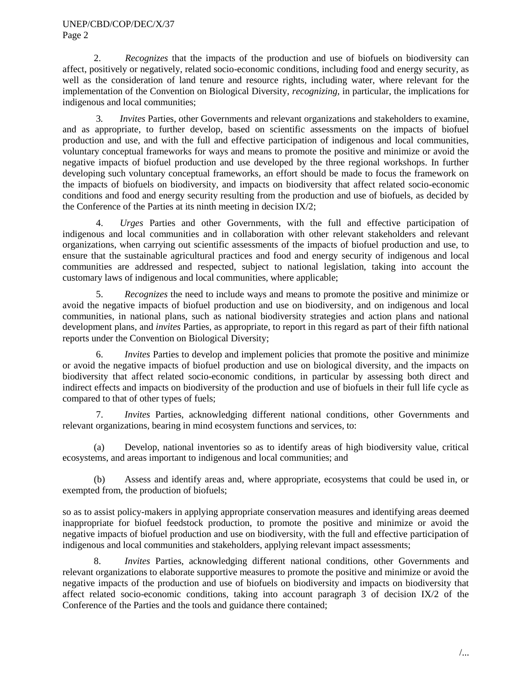#### UNEP/CBD/COP/DEC/X/37 Page 2

2. *Recognizes* that the impacts of the production and use of biofuels on biodiversity can affect, positively or negatively, related socio-economic conditions, including food and energy security, as well as the consideration of land tenure and resource rights, including water, where relevant for the implementation of the Convention on Biological Diversity, *recognizing,* in particular, the implications for indigenous and local communities;

3*. Invites* Parties, other Governments and relevant organizations and stakeholders to examine, and as appropriate, to further develop, based on scientific assessments on the impacts of biofuel production and use, and with the full and effective participation of indigenous and local communities, voluntary conceptual frameworks for ways and means to promote the positive and minimize or avoid the negative impacts of biofuel production and use developed by the three regional workshops. In further developing such voluntary conceptual frameworks, an effort should be made to focus the framework on the impacts of biofuels on biodiversity, and impacts on biodiversity that affect related socio-economic conditions and food and energy security resulting from the production and use of biofuels, as decided by the Conference of the Parties at its ninth meeting in decision IX/2;

4. *Urges* Parties and other Governments, with the full and effective participation of indigenous and local communities and in collaboration with other relevant stakeholders and relevant organizations, when carrying out scientific assessments of the impacts of biofuel production and use, to ensure that the sustainable agricultural practices and food and energy security of indigenous and local communities are addressed and respected, subject to national legislation, taking into account the customary laws of indigenous and local communities, where applicable;

5. *Recognizes* the need to include ways and means to promote the positive and minimize or avoid the negative impacts of biofuel production and use on biodiversity, and on indigenous and local communities, in national plans, such as national biodiversity strategies and action plans and national development plans, and *invites* Parties, as appropriate, to report in this regard as part of their fifth national reports under the Convention on Biological Diversity;

6. *Invites* Parties to develop and implement policies that promote the positive and minimize or avoid the negative impacts of biofuel production and use on biological diversity, and the impacts on biodiversity that affect related socio-economic conditions, in particular by assessing both direct and indirect effects and impacts on biodiversity of the production and use of biofuels in their full life cycle as compared to that of other types of fuels;

7. *Invites* Parties, acknowledging different national conditions, other Governments and relevant organizations, bearing in mind ecosystem functions and services, to:

(a) Develop, national inventories so as to identify areas of high biodiversity value, critical ecosystems, and areas important to indigenous and local communities; and

(b) Assess and identify areas and, where appropriate, ecosystems that could be used in, or exempted from, the production of biofuels;

so as to assist policy-makers in applying appropriate conservation measures and identifying areas deemed inappropriate for biofuel feedstock production, to promote the positive and minimize or avoid the negative impacts of biofuel production and use on biodiversity, with the full and effective participation of indigenous and local communities and stakeholders, applying relevant impact assessments;

8. *Invites* Parties, acknowledging different national conditions, other Governments and relevant organizations to elaborate supportive measures to promote the positive and minimize or avoid the negative impacts of the production and use of biofuels on biodiversity and impacts on biodiversity that affect related socio-economic conditions, taking into account paragraph 3 of decision IX/2 of the Conference of the Parties and the tools and guidance there contained;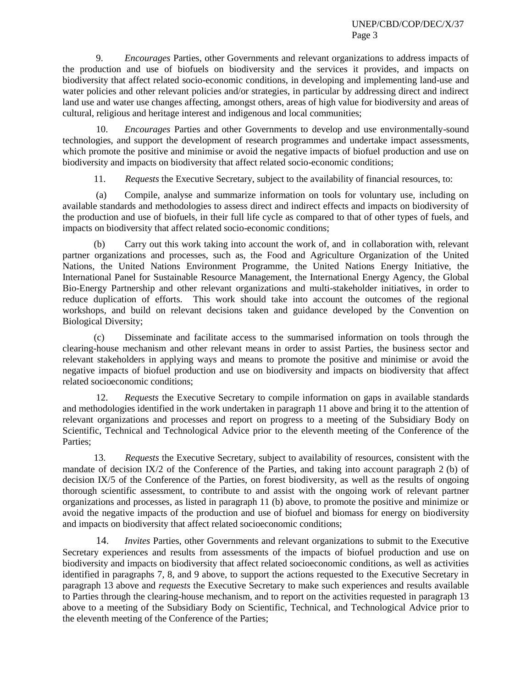9. *Encourages* Parties, other Governments and relevant organizations to address impacts of the production and use of biofuels on biodiversity and the services it provides, and impacts on biodiversity that affect related socio-economic conditions, in developing and implementing land-use and water policies and other relevant policies and/or strategies, in particular by addressing direct and indirect land use and water use changes affecting, amongst others, areas of high value for biodiversity and areas of cultural, religious and heritage interest and indigenous and local communities;

10. *Encourages* Parties and other Governments to develop and use environmentally-sound technologies, and support the development of research programmes and undertake impact assessments, which promote the positive and minimise or avoid the negative impacts of biofuel production and use on biodiversity and impacts on biodiversity that affect related socio-economic conditions;

11. *Requests* the Executive Secretary, subject to the availability of financial resources, to:

(a) Compile, analyse and summarize information on tools for voluntary use, including on available standards and methodologies to assess direct and indirect effects and impacts on biodiversity of the production and use of biofuels, in their full life cycle as compared to that of other types of fuels, and impacts on biodiversity that affect related socio-economic conditions;

(b) Carry out this work taking into account the work of, and in collaboration with, relevant partner organizations and processes, such as, the Food and Agriculture Organization of the United Nations, the United Nations Environment Programme, the United Nations Energy Initiative, the International Panel for Sustainable Resource Management, the International Energy Agency, the Global Bio-Energy Partnership and other relevant organizations and multi-stakeholder initiatives, in order to reduce duplication of efforts. This work should take into account the outcomes of the regional workshops, and build on relevant decisions taken and guidance developed by the Convention on Biological Diversity;

(c) Disseminate and facilitate access to the summarised information on tools through the clearing-house mechanism and other relevant means in order to assist Parties, the business sector and relevant stakeholders in applying ways and means to promote the positive and minimise or avoid the negative impacts of biofuel production and use on biodiversity and impacts on biodiversity that affect related socioeconomic conditions;

12. *Requests* the Executive Secretary to compile information on gaps in available standards and methodologies identified in the work undertaken in paragraph 11 above and bring it to the attention of relevant organizations and processes and report on progress to a meeting of the Subsidiary Body on Scientific, Technical and Technological Advice prior to the eleventh meeting of the Conference of the Parties;

13. *Requests* the Executive Secretary, subject to availability of resources, consistent with the mandate of decision IX/2 of the Conference of the Parties, and taking into account paragraph 2 (b) of decision IX/5 of the Conference of the Parties, on forest biodiversity, as well as the results of ongoing thorough scientific assessment, to contribute to and assist with the ongoing work of relevant partner organizations and processes, as listed in paragraph 11 (b) above, to promote the positive and minimize or avoid the negative impacts of the production and use of biofuel and biomass for energy on biodiversity and impacts on biodiversity that affect related socioeconomic conditions;

14. *Invites* Parties, other Governments and relevant organizations to submit to the Executive Secretary experiences and results from assessments of the impacts of biofuel production and use on biodiversity and impacts on biodiversity that affect related socioeconomic conditions, as well as activities identified in paragraphs 7, 8, and 9 above, to support the actions requested to the Executive Secretary in paragraph 13 above and *requests* the Executive Secretary to make such experiences and results available to Parties through the clearing-house mechanism, and to report on the activities requested in paragraph 13 above to a meeting of the Subsidiary Body on Scientific, Technical, and Technological Advice prior to the eleventh meeting of the Conference of the Parties;